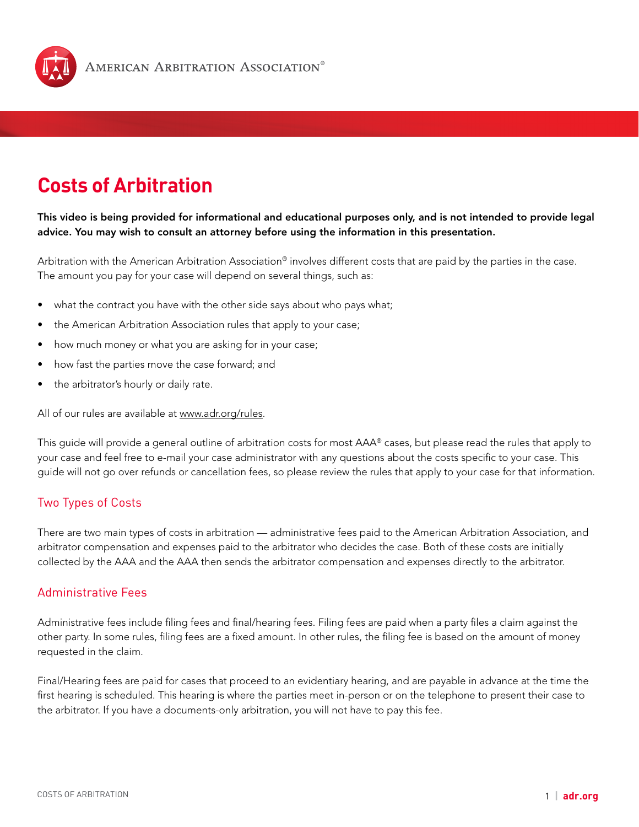

# **Costs of Arbitration**

## This video is being provided for informational and educational purposes only, and is not intended to provide legal advice. You may wish to consult an attorney before using the information in this presentation.

Arbitration with the American Arbitration Association<sup>®</sup> involves different costs that are paid by the parties in the case. The amount you pay for your case will depend on several things, such as:

- what the contract you have with the other side says about who pays what;
- the American Arbitration Association rules that apply to your case;
- how much money or what you are asking for in your case;
- how fast the parties move the case forward; and
- the arbitrator's hourly or daily rate.

All of our rules are available at [www.adr.org/rules.](http://www.adr.org/rules)

This guide will provide a general outline of arbitration costs for most AAA® cases, but please read the rules that apply to your case and feel free to e-mail your case administrator with any questions about the costs specific to your case. This guide will not go over refunds or cancellation fees, so please review the rules that apply to your case for that information.

## Two Types of Costs

There are two main types of costs in arbitration — administrative fees paid to the American Arbitration Association, and arbitrator compensation and expenses paid to the arbitrator who decides the case. Both of these costs are initially collected by the AAA and the AAA then sends the arbitrator compensation and expenses directly to the arbitrator.

### Administrative Fees

Administrative fees include filing fees and final/hearing fees. Filing fees are paid when a party files a claim against the other party. In some rules, filing fees are a fixed amount. In other rules, the filing fee is based on the amount of money requested in the claim.

Final/Hearing fees are paid for cases that proceed to an evidentiary hearing, and are payable in advance at the time the first hearing is scheduled. This hearing is where the parties meet in-person or on the telephone to present their case to the arbitrator. If you have a documents-only arbitration, you will not have to pay this fee.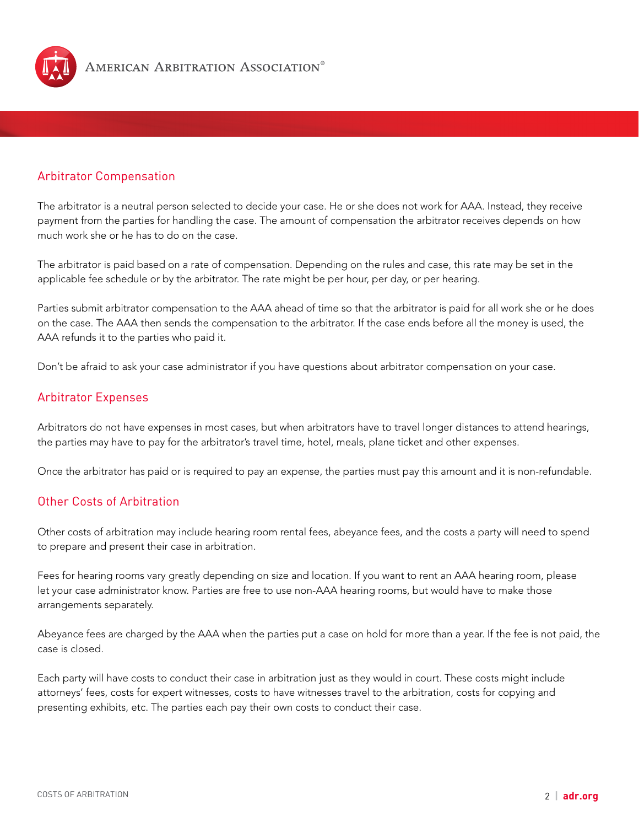

## Arbitrator Compensation

The arbitrator is a neutral person selected to decide your case. He or she does not work for AAA. Instead, they receive payment from the parties for handling the case. The amount of compensation the arbitrator receives depends on how much work she or he has to do on the case.

The arbitrator is paid based on a rate of compensation. Depending on the rules and case, this rate may be set in the applicable fee schedule or by the arbitrator. The rate might be per hour, per day, or per hearing.

Parties submit arbitrator compensation to the AAA ahead of time so that the arbitrator is paid for all work she or he does on the case. The AAA then sends the compensation to the arbitrator. If the case ends before all the money is used, the AAA refunds it to the parties who paid it.

Don't be afraid to ask your case administrator if you have questions about arbitrator compensation on your case.

### Arbitrator Expenses

Arbitrators do not have expenses in most cases, but when arbitrators have to travel longer distances to attend hearings, the parties may have to pay for the arbitrator's travel time, hotel, meals, plane ticket and other expenses.

Once the arbitrator has paid or is required to pay an expense, the parties must pay this amount and it is non-refundable.

## Other Costs of Arbitration

Other costs of arbitration may include hearing room rental fees, abeyance fees, and the costs a party will need to spend to prepare and present their case in arbitration.

Fees for hearing rooms vary greatly depending on size and location. If you want to rent an AAA hearing room, please let your case administrator know. Parties are free to use non-AAA hearing rooms, but would have to make those arrangements separately.

Abeyance fees are charged by the AAA when the parties put a case on hold for more than a year. If the fee is not paid, the case is closed.

Each party will have costs to conduct their case in arbitration just as they would in court. These costs might include attorneys' fees, costs for expert witnesses, costs to have witnesses travel to the arbitration, costs for copying and presenting exhibits, etc. The parties each pay their own costs to conduct their case.